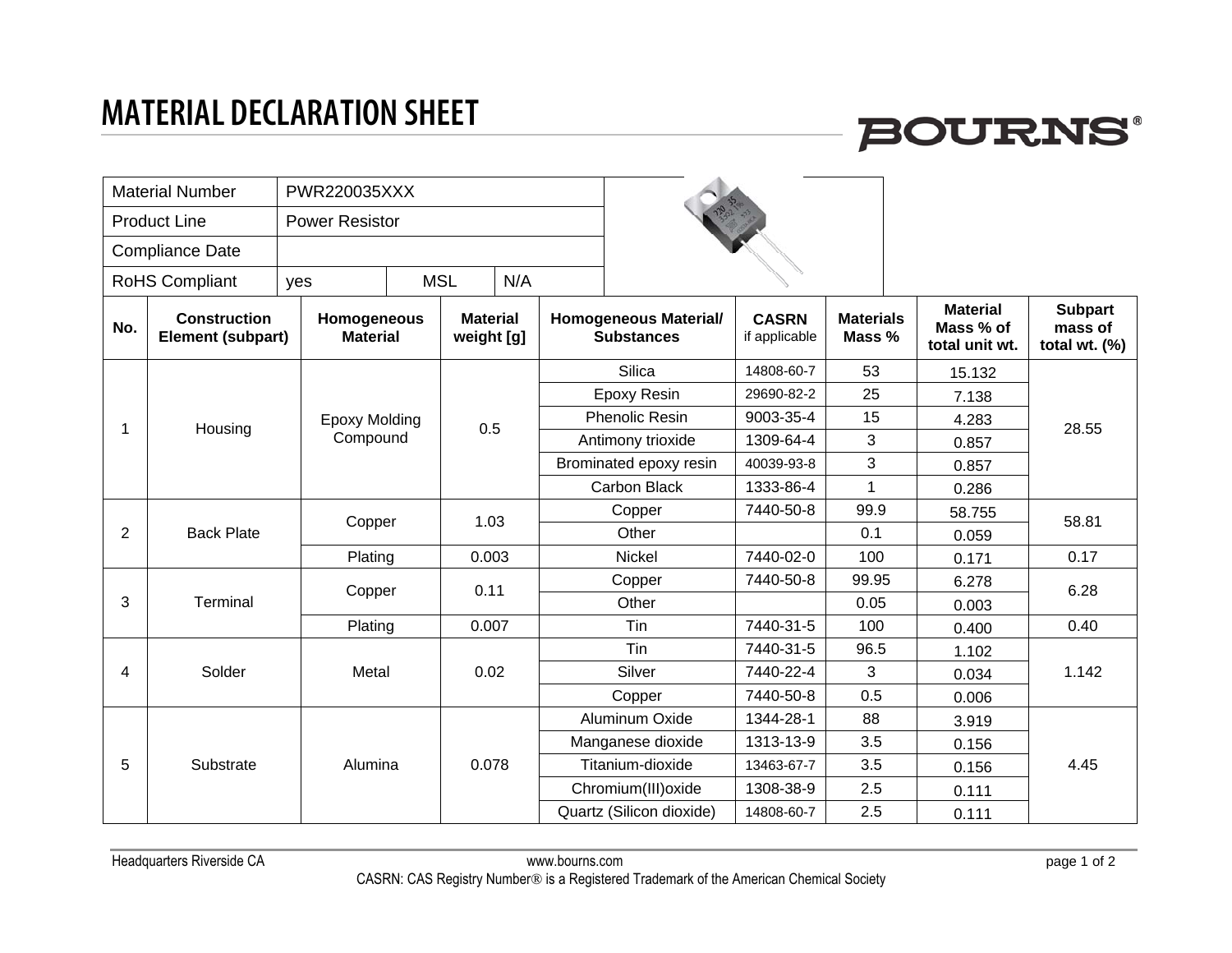### **MATERIAL DECLARATION SHEET**



| <b>Material Number</b> |                                          | <b>PWR220035XXX</b>            |                                  |                               |                     |                       |                                                   |                               |                            |                                                |                                              |       |
|------------------------|------------------------------------------|--------------------------------|----------------------------------|-------------------------------|---------------------|-----------------------|---------------------------------------------------|-------------------------------|----------------------------|------------------------------------------------|----------------------------------------------|-------|
| <b>Product Line</b>    |                                          | <b>Power Resistor</b>          |                                  |                               |                     |                       |                                                   |                               |                            |                                                |                                              |       |
| <b>Compliance Date</b> |                                          |                                |                                  |                               |                     |                       |                                                   |                               |                            |                                                |                                              |       |
| <b>RoHS Compliant</b>  |                                          | yes                            |                                  | <b>MSL</b><br>N/A             |                     |                       |                                                   |                               |                            |                                                |                                              |       |
| No.                    | <b>Construction</b><br>Element (subpart) | Homogeneous<br><b>Material</b> |                                  | <b>Material</b><br>weight [g] |                     |                       | <b>Homogeneous Material/</b><br><b>Substances</b> | <b>CASRN</b><br>if applicable | <b>Materials</b><br>Mass % | <b>Material</b><br>Mass % of<br>total unit wt. | <b>Subpart</b><br>mass of<br>total wt. $(%)$ |       |
| 1                      |                                          |                                |                                  |                               | <b>Silica</b>       |                       | 14808-60-7                                        | 53                            | 15.132                     |                                                |                                              |       |
|                        |                                          |                                |                                  |                               | <b>Epoxy Resin</b>  |                       | 29690-82-2                                        | 25                            | 7.138                      |                                                |                                              |       |
|                        | Housing                                  |                                | <b>Epoxy Molding</b><br>Compound |                               | 0.5                 | <b>Phenolic Resin</b> |                                                   | 9003-35-4                     | 15                         | 4.283                                          | 28.55                                        |       |
|                        |                                          |                                |                                  |                               |                     | Antimony trioxide     |                                                   | 1309-64-4                     | 3                          | 0.857                                          |                                              |       |
|                        |                                          |                                |                                  |                               |                     |                       | Brominated epoxy resin                            |                               | 3                          | 0.857                                          |                                              |       |
|                        |                                          |                                |                                  |                               |                     |                       | Carbon Black                                      |                               | $\mathbf{1}$               | 0.286                                          |                                              |       |
| $\overline{2}$         |                                          | Copper                         |                                  | 1.03                          |                     | Copper                |                                                   | 7440-50-8                     | 99.9                       | 58.755                                         | 58.81                                        |       |
|                        | <b>Back Plate</b>                        |                                |                                  |                               |                     |                       | Other                                             |                               | 0.1                        | 0.059                                          |                                              |       |
|                        |                                          |                                | Plating                          |                               | 0.003               |                       | Nickel                                            | 7440-02-0                     | 100                        | 0.171                                          | 0.17                                         |       |
| 3                      |                                          | Copper                         |                                  | 0.11                          |                     |                       | Copper                                            | 7440-50-8                     | 99.95                      | 6.278                                          | 6.28                                         |       |
|                        | Terminal                                 |                                |                                  |                               |                     |                       | Other                                             |                               | 0.05                       | 0.003                                          |                                              |       |
|                        |                                          |                                | Plating                          |                               | 0.007               |                       | Tin                                               | 7440-31-5                     | 100                        | 0.400                                          | 0.40                                         |       |
| 4                      |                                          |                                |                                  |                               |                     |                       | Tin                                               | 7440-31-5                     | 96.5                       | 1.102                                          |                                              |       |
|                        | Solder                                   | Metal                          |                                  | 0.02                          | Silver              |                       | 7440-22-4                                         | 3                             | 0.034                      | 1.142                                          |                                              |       |
|                        |                                          |                                |                                  |                               |                     |                       | Copper                                            | 7440-50-8                     | 0.5                        | 0.006                                          |                                              |       |
| 5                      |                                          |                                |                                  |                               |                     |                       | Aluminum Oxide                                    | 1344-28-1                     | 88                         | 3.919                                          |                                              |       |
|                        |                                          |                                | 0.078                            |                               | Manganese dioxide   | 1313-13-9             | 3.5                                               | 0.156                         |                            |                                                |                                              |       |
|                        | Substrate                                | Alumina                        |                                  |                               | Titanium-dioxide    | 13463-67-7            | 3.5                                               | 0.156                         | 4.45                       |                                                |                                              |       |
|                        |                                          |                                |                                  |                               | Chromium(III) oxide | 1308-38-9             | 2.5                                               | 0.111                         |                            |                                                |                                              |       |
|                        |                                          |                                |                                  |                               |                     |                       | Quartz (Silicon dioxide)                          | 14808-60-7                    |                            |                                                | 2.5                                          | 0.111 |